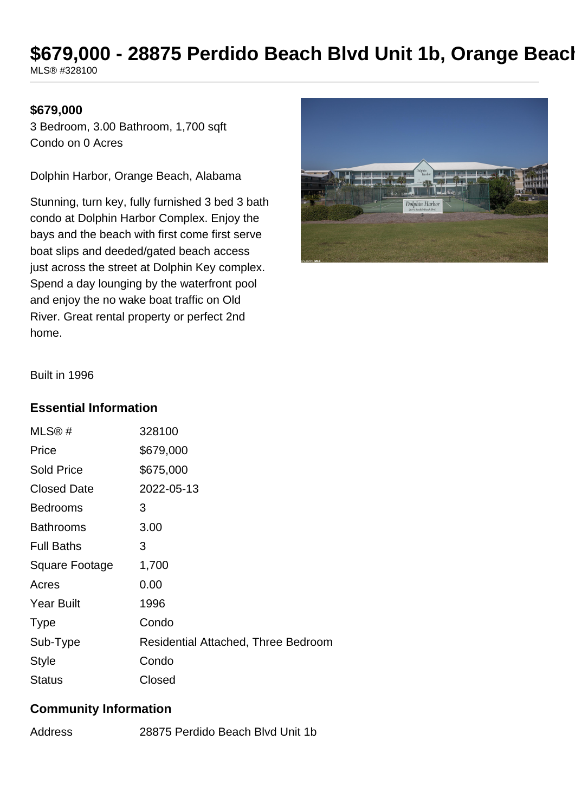# **\$679,000 - 28875 Perdido Beach Blvd Unit 1b, Orange Beach**

MLS® #328100

#### **\$679,000**

3 Bedroom, 3.00 Bathroom, 1,700 sqft Condo on 0 Acres

Dolphin Harbor, Orange Beach, Alabama

Stunning, turn key, fully furnished 3 bed 3 bath condo at Dolphin Harbor Complex. Enjoy the bays and the beach with first come first serve boat slips and deeded/gated beach access just across the street at Dolphin Key complex. Spend a day lounging by the waterfront pool and enjoy the no wake boat traffic on Old River. Great rental property or perfect 2nd home.



Built in 1996

#### **Essential Information**

| MLS@#                 | 328100                                     |
|-----------------------|--------------------------------------------|
| Price                 | \$679,000                                  |
| <b>Sold Price</b>     | \$675,000                                  |
| <b>Closed Date</b>    | 2022-05-13                                 |
| <b>Bedrooms</b>       | 3                                          |
| <b>Bathrooms</b>      | 3.00                                       |
| <b>Full Baths</b>     | 3                                          |
| <b>Square Footage</b> | 1,700                                      |
| Acres                 | 0.00                                       |
| <b>Year Built</b>     | 1996                                       |
| <b>Type</b>           | Condo                                      |
| Sub-Type              | <b>Residential Attached, Three Bedroom</b> |
| <b>Style</b>          | Condo                                      |
| <b>Status</b>         | Closed                                     |

#### **Community Information**

Address 28875 Perdido Beach Blvd Unit 1b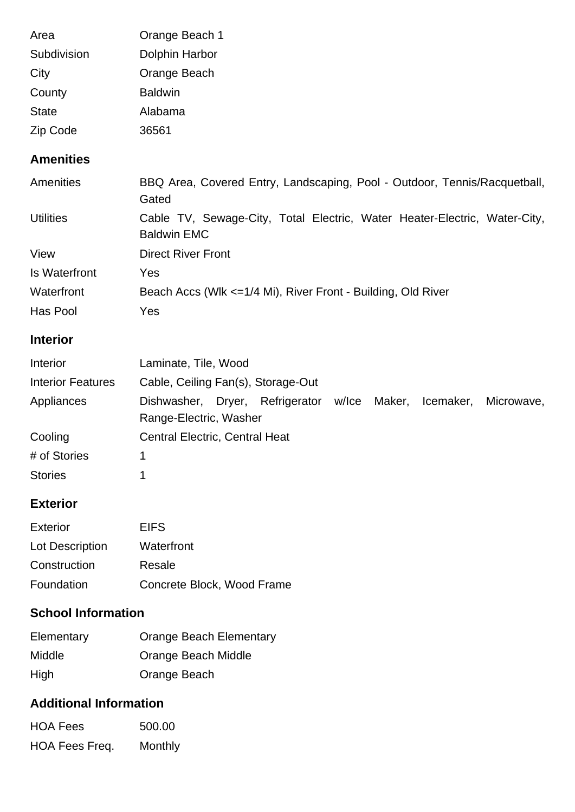| Area         | Orange Beach 1 |
|--------------|----------------|
| Subdivision  | Dolphin Harbor |
| City         | Orange Beach   |
| County       | <b>Baldwin</b> |
| <b>State</b> | Alabama        |
| Zip Code     | 36561          |

## **Amenities**

| Amenities            | BBQ Area, Covered Entry, Landscaping, Pool - Outdoor, Tennis/Racquetball,<br>Gated              |
|----------------------|-------------------------------------------------------------------------------------------------|
| <b>Utilities</b>     | Cable TV, Sewage-City, Total Electric, Water Heater-Electric, Water-City,<br><b>Baldwin EMC</b> |
| View                 | <b>Direct River Front</b>                                                                       |
| <b>Is Waterfront</b> | Yes                                                                                             |
| Waterfront           | Beach Accs (Wlk <= 1/4 Mi), River Front - Building, Old River                                   |
| Has Pool             | Yes                                                                                             |

## **Interior**

| Interior                 | Laminate, Tile, Wood                                                                                 |  |  |  |  |
|--------------------------|------------------------------------------------------------------------------------------------------|--|--|--|--|
| <b>Interior Features</b> | Cable, Ceiling Fan(s), Storage-Out                                                                   |  |  |  |  |
| Appliances               | Dishwasher, Dryer, Refrigerator<br>w/lce Maker,<br>Icemaker,<br>Microwave,<br>Range-Electric, Washer |  |  |  |  |
| Cooling                  | <b>Central Electric, Central Heat</b>                                                                |  |  |  |  |
| # of Stories             |                                                                                                      |  |  |  |  |
| <b>Stories</b>           |                                                                                                      |  |  |  |  |

## **Exterior**

| <b>Exterior</b> | <b>EIFS</b>                |
|-----------------|----------------------------|
| Lot Description | Waterfront                 |
| Construction    | Resale                     |
| Foundation      | Concrete Block, Wood Frame |

## **School Information**

| Elementary    | <b>Orange Beach Elementary</b> |
|---------------|--------------------------------|
| <b>Middle</b> | Orange Beach Middle            |
| High          | Orange Beach                   |

#### **Additional Information**

| <b>HOA Fees</b> | 500.00  |
|-----------------|---------|
| HOA Fees Freq.  | Monthly |